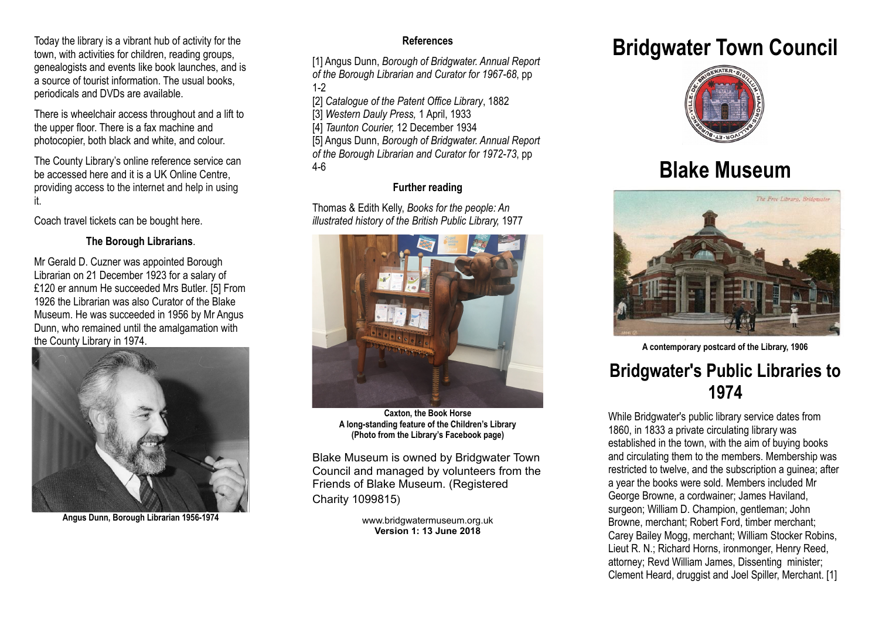Today the library is a vibrant hub of activity for the town, with activities for children, reading groups, genealogists and events like book launches, and is a source of tourist information. The usual books, periodicals and DVDs are available.

There is wheelchair access throughout and a lift to the upper floor. There is a fax machine and photocopier, both black and white, and colour.

The County Library's online reference service can be accessed here and it is a UK Online Centre, providing access to the internet and help in using it.

Coach travel tickets can be bought here.

#### **The Borough Librarians**.

Mr Gerald D. Cuzner was appointed Borough Librarian on 21 December 1923 for a salary of £120 er annum He succeeded Mrs Butler. [5] From 1926 the Librarian was also Curator of the Blake Museum. He was succeeded in 1956 by Mr Angus Dunn, who remained until the amalgamation with the County Library in 1974.



**Angus Dunn, Borough Librarian 1956-1974**

### **References**

[1] Angus Dunn, *Borough of Bridgwater. Annual Report of the Borough Librarian and Curator for 1967-68*, pp 1-2

[2] *Catalogue of the Patent Office Library*, 1882

[3] *Western Dauly Press,* 1 April, 1933

[4] *Taunton Courier,* 12 December 1934

[5] Angus Dunn, *Borough of Bridgwater. Annual Report*

*of the Borough Librarian and Curator for 1972-73*, pp 4-6

### **Further reading**

Thomas & Edith Kelly, *Books for the people: An illustrated history of the British Public Library,* 1977



**Caxton, the Book Horse A long-standing feature of the Children's Library (Photo from the Library's Facebook page)**

Blake Museum is owned by Bridgwater Town Council and managed by volunteers from the Friends of Blake Museum. (Registered Charity 1099815)

> www.bridgwatermuseum.org.uk **Version 1: 13 June 2018**

## **Bridgwater Town Council**



# **Blake Museum**



**A contemporary postcard of the Library, 1906**

### **Bridgwater's Public Libraries to 1974**

While Bridgwater's public library service dates from 1860, in 1833 a private circulating library was established in the town, with the aim of buying books and circulating them to the members. Membership was restricted to twelve, and the subscription a guinea; after a year the books were sold. Members included Mr George Browne, a cordwainer; James Haviland, surgeon; William D. Champion, gentleman; John Browne, merchant; Robert Ford, timber merchant; Carey Bailey Mogg, merchant; William Stocker Robins, Lieut R. N.; Richard Horns, ironmonger, Henry Reed, attorney; Revd William James, Dissenting minister; Clement Heard, druggist and Joel Spiller, Merchant. [1]